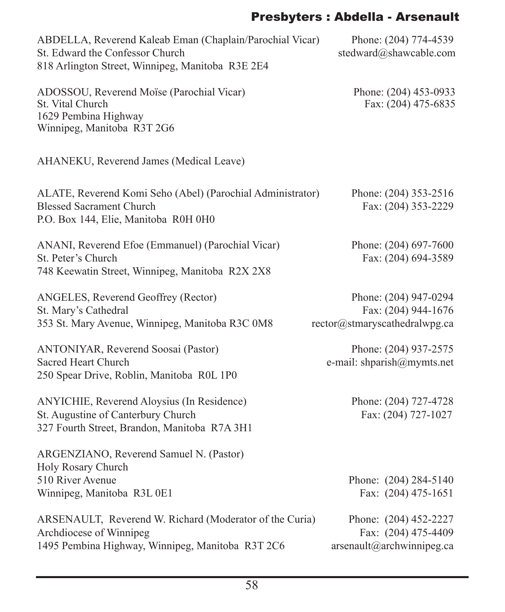# Presbyters : Abdella - Arsenault

| ABDELLA, Reverend Kaleab Eman (Chaplain/Parochial Vicar)<br>St. Edward the Confessor Church<br>818 Arlington Street, Winnipeg, Manitoba R3E 2E4 | Phone: (204) 774-4539<br>stedward@shawcable.com                               |
|-------------------------------------------------------------------------------------------------------------------------------------------------|-------------------------------------------------------------------------------|
| ADOSSOU, Reverend Moïse (Parochial Vicar)<br>St. Vital Church<br>1629 Pembina Highway<br>Winnipeg, Manitoba R3T 2G6                             | Phone: (204) 453-0933<br>Fax: (204) 475-6835                                  |
| AHANEKU, Reverend James (Medical Leave)                                                                                                         |                                                                               |
| ALATE, Reverend Komi Seho (Abel) (Parochial Administrator)<br><b>Blessed Sacrament Church</b><br>P.O. Box 144, Elie, Manitoba R0H 0H0           | Phone: (204) 353-2516<br>Fax: (204) 353-2229                                  |
| ANANI, Reverend Efoe (Emmanuel) (Parochial Vicar)<br>St. Peter's Church<br>748 Keewatin Street, Winnipeg, Manitoba R2X 2X8                      | Phone: (204) 697-7600<br>Fax: (204) 694-3589                                  |
| ANGELES, Reverend Geoffrey (Rector)<br>St. Mary's Cathedral<br>353 St. Mary Avenue, Winnipeg, Manitoba R3C 0M8                                  | Phone: (204) 947-0294<br>Fax: (204) 944-1676<br>rector@stmaryscathedralwpg.ca |
| <b>ANTONIYAR, Reverend Soosai (Pastor)</b><br><b>Sacred Heart Church</b><br>250 Spear Drive, Roblin, Manitoba R0L 1P0                           | Phone: (204) 937-2575<br>e-mail: shparish@mymts.net                           |
| ANYICHIE, Reverend Aloysius (In Residence)<br>St. Augustine of Canterbury Church<br>327 Fourth Street, Brandon, Manitoba R7A 3H1                | Phone: (204) 727-4728<br>Fax: (204) 727-1027                                  |
| ARGENZIANO, Reverend Samuel N. (Pastor)<br>Holy Rosary Church                                                                                   |                                                                               |
| 510 River Avenue<br>Winnipeg, Manitoba R3L 0E1                                                                                                  | Phone: (204) 284-5140<br>Fax: (204) 475-1651                                  |
| ARSENAULT, Reverend W. Richard (Moderator of the Curia)<br>Archdiocese of Winnipeg<br>1495 Pembina Highway, Winnipeg, Manitoba R3T 2C6          | Phone: (204) 452-2227<br>Fax: (204) 475-4409<br>arsenault@archwinnipeg.ca     |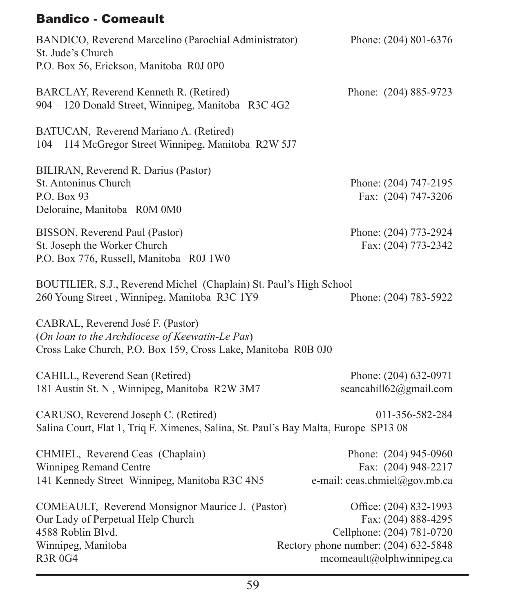## Bandico - Comeault

| BANDICO, Reverend Marcelino (Parochial Administrator)<br>St. Jude's Church<br>P.O. Box 56, Erickson, Manitoba R0J 0P0                                 | Phone: (204) 801-6376                                                                                                                            |
|-------------------------------------------------------------------------------------------------------------------------------------------------------|--------------------------------------------------------------------------------------------------------------------------------------------------|
| BARCLAY, Reverend Kenneth R. (Retired)<br>904 - 120 Donald Street, Winnipeg, Manitoba R3C 4G2                                                         | Phone: (204) 885-9723                                                                                                                            |
| BATUCAN, Reverend Mariano A. (Retired)<br>104 - 114 McGregor Street Winnipeg, Manitoba R2W 5J7                                                        |                                                                                                                                                  |
| BILIRAN, Reverend R. Darius (Pastor)<br>St. Antoninus Church<br>P.O. Box 93<br>Deloraine, Manitoba R0M 0M0                                            | Phone: (204) 747-2195<br>Fax: (204) 747-3206                                                                                                     |
| BISSON, Reverend Paul (Pastor)<br>St. Joseph the Worker Church<br>P.O. Box 776, Russell, Manitoba R0J 1W0                                             | Phone: (204) 773-2924<br>Fax: (204) 773-2342                                                                                                     |
| BOUTILIER, S.J., Reverend Michel (Chaplain) St. Paul's High School<br>260 Young Street, Winnipeg, Manitoba R3C 1Y9                                    | Phone: (204) 783-5922                                                                                                                            |
| CABRAL, Reverend José F. (Pastor)<br>(On loan to the Archdiocese of Keewatin-Le Pas)<br>Cross Lake Church, P.O. Box 159, Cross Lake, Manitoba R0B 0J0 |                                                                                                                                                  |
| CAHILL, Reverend Sean (Retired)<br>181 Austin St. N, Winnipeg, Manitoba R2W 3M7                                                                       | Phone: (204) 632-0971<br>seancahill62@gmail.com                                                                                                  |
| CARUSO, Reverend Joseph C. (Retired)<br>Salina Court, Flat 1, Triq F. Ximenes, Salina, St. Paul's Bay Malta, Europe SP13 08                           | 011-356-582-284                                                                                                                                  |
| CHMIEL, Reverend Ceas (Chaplain)<br>Winnipeg Remand Centre<br>141 Kennedy Street Winnipeg, Manitoba R3C 4N5                                           | Phone: (204) 945-0960<br>Fax: (204) 948-2217<br>e-mail: ceas.chmiel@gov.mb.ca                                                                    |
| COMEAULT, Reverend Monsignor Maurice J. (Pastor)<br>Our Lady of Perpetual Help Church<br>4588 Roblin Blvd.<br>Winnipeg, Manitoba<br><b>R3R 0G4</b>    | Office: (204) 832-1993<br>Fax: (204) 888-4295<br>Cellphone: (204) 781-0720<br>Rectory phone number: (204) 632-5848<br>mcomecult@olphwinningeg.ca |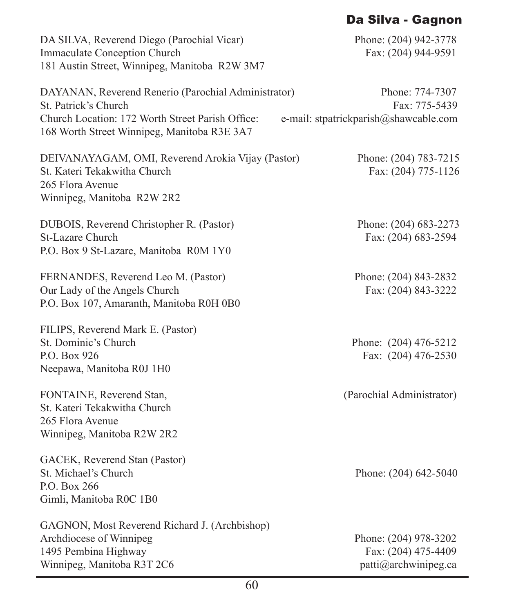## Da Silva - Gagnon

| DA SILVA, Reverend Diego (Parochial Vicar)<br><b>Immaculate Conception Church</b><br>181 Austin Street, Winnipeg, Manitoba R2W 3M7                                             | Phone: (204) 942-3778<br>Fax: (204) 944-9591                              |
|--------------------------------------------------------------------------------------------------------------------------------------------------------------------------------|---------------------------------------------------------------------------|
| DAYANAN, Reverend Renerio (Parochial Administrator)<br>St. Patrick's Church<br>Church Location: 172 Worth Street Parish Office:<br>168 Worth Street Winnipeg, Manitoba R3E 3A7 | Phone: 774-7307<br>Fax: 775-5439<br>e-mail: stpatrickparish@shawcable.com |
| DEIVANAYAGAM, OMI, Reverend Arokia Vijay (Pastor)<br>St. Kateri Tekakwitha Church<br>265 Flora Avenue<br>Winnipeg, Manitoba R2W 2R2                                            | Phone: (204) 783-7215<br>Fax: (204) 775-1126                              |
| DUBOIS, Reverend Christopher R. (Pastor)<br>St-Lazare Church<br>P.O. Box 9 St-Lazare, Manitoba R0M 1Y0                                                                         | Phone: (204) 683-2273<br>Fax: (204) 683-2594                              |
| FERNANDES, Reverend Leo M. (Pastor)<br>Our Lady of the Angels Church<br>P.O. Box 107, Amaranth, Manitoba R0H 0B0                                                               | Phone: (204) 843-2832<br>Fax: (204) 843-3222                              |
| FILIPS, Reverend Mark E. (Pastor)<br>St. Dominic's Church<br>P.O. Box 926<br>Neepawa, Manitoba R0J 1H0                                                                         | Phone: (204) 476-5212<br>Fax: (204) 476-2530                              |
| FONTAINE, Reverend Stan,<br>St. Kateri Tekakwitha Church<br>265 Flora Avenue<br>Winnipeg, Manitoba R2W 2R2                                                                     | (Parochial Administrator)                                                 |
| GACEK, Reverend Stan (Pastor)<br>St. Michael's Church<br>P.O. Box 266<br>Gimli, Manitoba R0C 1B0                                                                               | Phone: (204) 642-5040                                                     |
| GAGNON, Most Reverend Richard J. (Archbishop)<br>Archdiocese of Winnipeg<br>1495 Pembina Highway<br>Winnipeg, Manitoba R3T 2C6                                                 | Phone: (204) 978-3202<br>Fax: (204) 475-4409<br>patti@archwinipeg.ca      |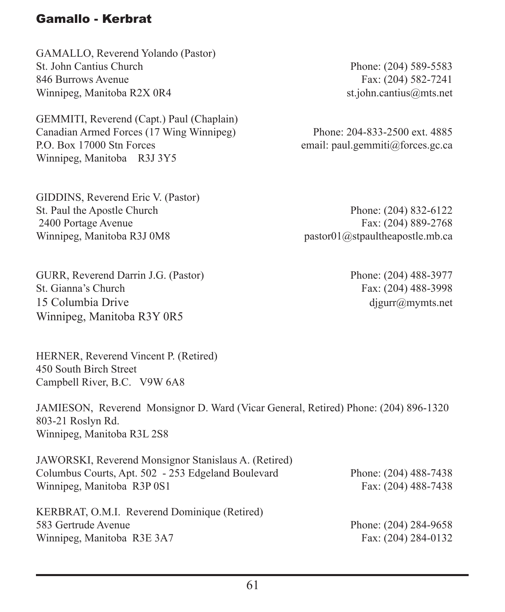### Gamallo - Kerbrat

GAMALLO, Reverend Yolando (Pastor) St. John Cantius Church Phone: (204) 589-5583 846 Burrows Avenue Fax: (204) 582-7241 Winnipeg, Manitoba R2X 0R4 st.john.cantius@mts.net

GEMMITI, Reverend (Capt.) Paul (Chaplain) Canadian Armed Forces (17 Wing Winnipeg) Phone: 204-833-2500 ext. 4885 P.O. Box 17000 Stn Forces exercises exercise email: paul.gemmiti@forces.gc.ca Winnipeg, Manitoba R3J 3Y5

GIDDINS, Reverend Eric V. (Pastor) St. Paul the Apostle Church Phone: (204) 832-6122 2400 Portage Avenue Fax: (204) 889-2768 Winnipeg, Manitoba R3J 0M8 pastor01@stpaultheapostle.mb.ca

GURR, Reverend Darrin J.G. (Pastor) Phone: (204) 488-3977 St. Gianna's Church Fax: (204) 488-3998 15 Columbia Drive digurramymts.net Winnipeg, Manitoba R3Y 0R5

HERNER, Reverend Vincent P. (Retired) 450 South Birch Street Campbell River, B.C. V9W 6A8

JAMIESON, Reverend Monsignor D. Ward (Vicar General, Retired) Phone: (204) 896-1320 803-21 Roslyn Rd. Winnipeg, Manitoba R3L 2S8

JAWORSKI, Reverend Monsignor Stanislaus A. (Retired) Columbus Courts, Apt. 502 - 253 Edgeland Boulevard Phone: (204) 488-7438 Winnipeg, Manitoba R3P 0S1 Fax: (204) 488-7438

KERBRAT, O.M.I. Reverend Dominique (Retired) 583 Gertrude Avenue Phone: (204) 284-9658 Winnipeg, Manitoba R3E 3A7 Fax: (204) 284-0132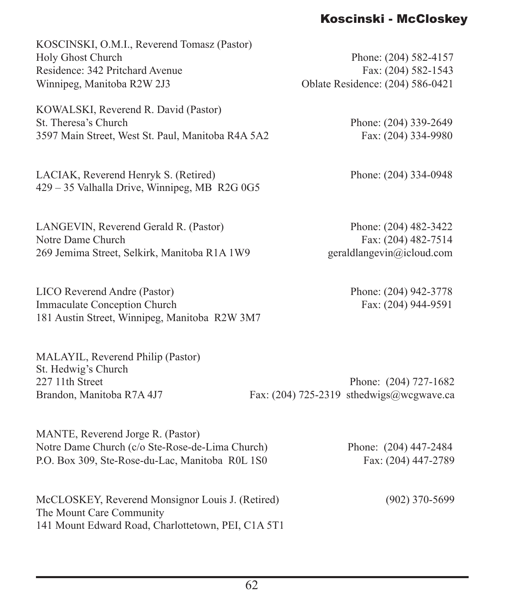## Koscinski - McCloskey

| KOSCINSKI, O.M.I., Reverend Tomasz (Pastor)                                                                         |  |
|---------------------------------------------------------------------------------------------------------------------|--|
| <b>Holy Ghost Church</b>                                                                                            |  |
| Residence: 342 Pritchard Avenue                                                                                     |  |
| Winnipeg, Manitoba R2W 2J3                                                                                          |  |
| KOWALSKI, Reverend R. David (Pastor)<br>St. Theresa's Church<br>3597 Main Street, West St. Paul, Manitoba R4A 5A2   |  |
|                                                                                                                     |  |
| $1 \text{ } \text{T} \text{ } \text{T}$ $1 \text{ } \text{ } \text{ } \text{ } \text{T} \text{ } \text{ } \text{T}$ |  |

LACIAK, Reverend Henryk S. (Retired) Phone: (204) 334-0948 429 – 35 Valhalla Drive, Winnipeg, MB R2G 0G5

LANGEVIN, Reverend Gerald R. (Pastor) Phone: (204) 482-3422 Notre Dame Church Fax: (204) 482-7514 269 Jemima Street, Selkirk, Manitoba R1A 1W9 geraldlangevin@icloud.com

LICO Reverend Andre (Pastor) Phone: (204) 942-3778 Immaculate Conception Church Fax: (204) 944-9591 181 Austin Street, Winnipeg, Manitoba R2W 3M7

MALAYIL, Reverend Philip (Pastor) St. Hedwig's Church

227 11th Street Phone: (204) 727-1682 Brandon, Manitoba R7A 4J7 Fax: (204) 725-2319 sthedwigs@wcgwave.ca

MANTE, Reverend Jorge R. (Pastor) Notre Dame Church (c/o Ste-Rose-de-Lima Church) Phone: (204) 447-2484 P.O. Box 309, Ste-Rose-du-Lac, Manitoba R0L 1S0 Fax: (204) 447-2789

McCLOSKEY, Reverend Monsignor Louis J. (Retired) (902) 370-5699 The Mount Care Community 141 Mount Edward Road, Charlottetown, PEI, C1A 5T1

Phone: (204) 582-4157 Fax:  $(204)$  582-1543 Oblate Residence: (204) 586-0421

> Phone: (204) 339-2649 Fax: (204) 334-9980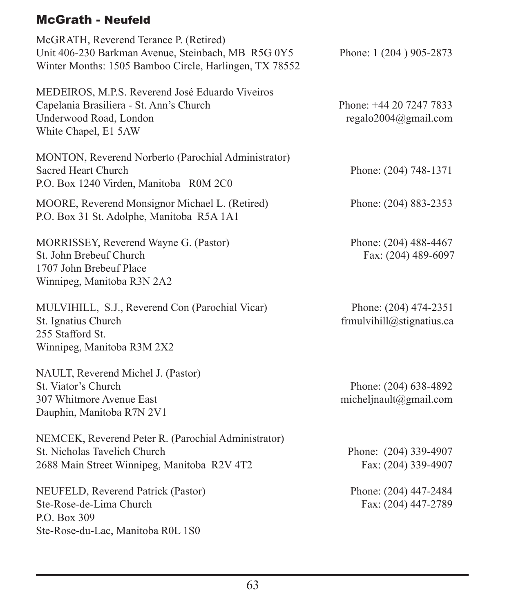# McGrath - Neufeld

| McGRATH, Reverend Terance P. (Retired)<br>Unit 406-230 Barkman Avenue, Steinbach, MB R5G 0Y5<br>Winter Months: 1505 Bamboo Circle, Harlingen, TX 78552 | Phone: 1 (204) 905-2873                            |
|--------------------------------------------------------------------------------------------------------------------------------------------------------|----------------------------------------------------|
| MEDEIROS, M.P.S. Reverend José Eduardo Viveiros<br>Capelania Brasiliera - St. Ann's Church<br>Underwood Road, London<br>White Chapel, E1 5AW           | Phone: +44 20 7247 7833<br>regalo2004@gmail.com    |
| MONTON, Reverend Norberto (Parochial Administrator)<br><b>Sacred Heart Church</b><br>P.O. Box 1240 Virden, Manitoba R0M 2C0                            | Phone: (204) 748-1371                              |
| MOORE, Reverend Monsignor Michael L. (Retired)<br>P.O. Box 31 St. Adolphe, Manitoba R5A 1A1                                                            | Phone: (204) 883-2353                              |
| MORRISSEY, Reverend Wayne G. (Pastor)<br>St. John Brebeuf Church<br>1707 John Brebeuf Place<br>Winnipeg, Manitoba R3N 2A2                              | Phone: (204) 488-4467<br>Fax: (204) 489-6097       |
| MULVIHILL, S.J., Reverend Con (Parochial Vicar)<br>St. Ignatius Church<br>255 Stafford St.<br>Winnipeg, Manitoba R3M 2X2                               | Phone: (204) 474-2351<br>frmulvihill@stignatius.ca |
| NAULT, Reverend Michel J. (Pastor)<br>St. Viator's Church<br>307 Whitmore Avenue East<br>Dauphin, Manitoba R7N 2V1                                     | Phone: (204) 638-4892<br>micheljnault@gmail.com    |
| NEMCEK, Reverend Peter R. (Parochial Administrator)<br>St. Nicholas Tavelich Church<br>2688 Main Street Winnipeg, Manitoba R2V 4T2                     | Phone: (204) 339-4907<br>Fax: (204) 339-4907       |
| NEUFELD, Reverend Patrick (Pastor)<br>Ste-Rose-de-Lima Church<br>P.O. Box 309<br>Ste-Rose-du-Lac, Manitoba R0L 1S0                                     | Phone: (204) 447-2484<br>Fax: (204) 447-2789       |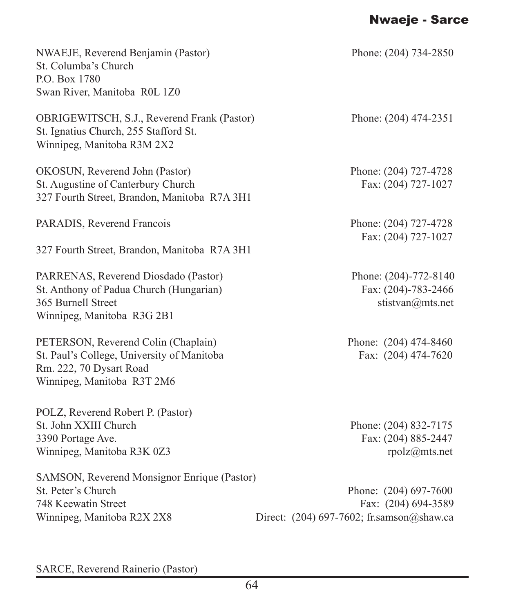# Nwaeje - Sarce

| NWAEJE, Reverend Benjamin (Pastor)<br>St. Columba's Church<br>P.O. Box 1780<br>Swan River, Manitoba R0L 1Z0                                | Phone: (204) 734-2850                                                                       |
|--------------------------------------------------------------------------------------------------------------------------------------------|---------------------------------------------------------------------------------------------|
| OBRIGEWITSCH, S.J., Reverend Frank (Pastor)<br>St. Ignatius Church, 255 Stafford St.<br>Winnipeg, Manitoba R3M 2X2                         | Phone: (204) 474-2351                                                                       |
| OKOSUN, Reverend John (Pastor)<br>St. Augustine of Canterbury Church<br>327 Fourth Street, Brandon, Manitoba R7A 3H1                       | Phone: (204) 727-4728<br>Fax: (204) 727-1027                                                |
| PARADIS, Reverend Francois                                                                                                                 | Phone: (204) 727-4728<br>Fax: (204) 727-1027                                                |
| 327 Fourth Street, Brandon, Manitoba R7A 3H1                                                                                               |                                                                                             |
| PARRENAS, Reverend Diosdado (Pastor)<br>St. Anthony of Padua Church (Hungarian)<br>365 Burnell Street<br>Winnipeg, Manitoba R3G 2B1        | Phone: (204)-772-8140<br>Fax: (204)-783-2466<br>stistvan@mts.net                            |
| PETERSON, Reverend Colin (Chaplain)<br>St. Paul's College, University of Manitoba<br>Rm. 222, 70 Dysart Road<br>Winnipeg, Manitoba R3T 2M6 | Phone: (204) 474-8460<br>Fax: (204) 474-7620                                                |
| POLZ, Reverend Robert P. (Pastor)<br>St. John XXIII Church<br>3390 Portage Ave.<br>Winnipeg, Manitoba R3K 0Z3                              | Phone: (204) 832-7175<br>Fax: (204) 885-2447<br>rpolz@mts.net                               |
| SAMSON, Reverend Monsignor Enrique (Pastor)<br>St. Peter's Church<br>748 Keewatin Street<br>Winnipeg, Manitoba R2X 2X8                     | Phone: (204) 697-7600<br>Fax: (204) 694-3589<br>Direct: $(204)$ 697-7602; fr.samson@shaw.ca |

SARCE, Reverend Rainerio (Pastor)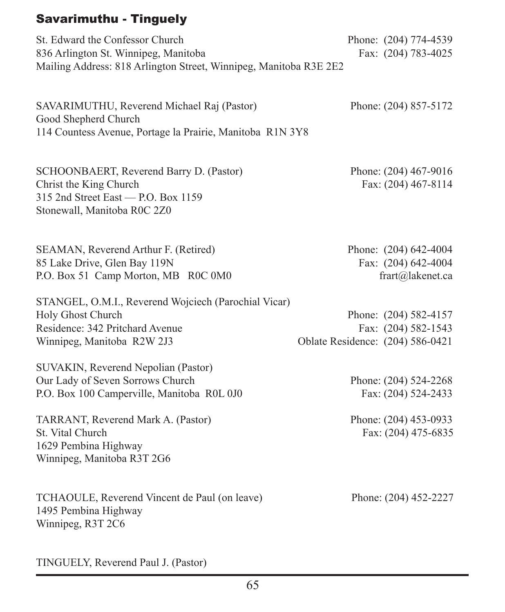#### Savarimuthu - Tinguely

St. Edward the Confessor Church Phone: (204) 774-4539 836 Arlington St. Winnipeg, Manitoba Fax: (204) 783-4025 Mailing Address: 818 Arlington Street, Winnipeg, Manitoba R3E 2E2

SAVARIMUTHU, Reverend Michael Raj (Pastor) Phone: (204) 857-5172 Good Shepherd Church 114 Countess Avenue, Portage la Prairie, Manitoba R1N 3Y8

SCHOONBAERT, Reverend Barry D. (Pastor) Phone: (204) 467-9016 Christ the King Church Fax: (204) 467-8114  $315$  2nd Street East — P.O. Box 1159 Stonewall, Manitoba R0C 2Z0

SEAMAN, Reverend Arthur F. (Retired) Phone: (204) 642-4004 85 Lake Drive, Glen Bay 119N Fax: (204) 642-4004 P.O. Box 51 Camp Morton, MB R0C 0M0 frart@lakenet.ca

STANGEL, O.M.I., Reverend Wojciech (Parochial Vicar) Holy Ghost Church Phone: (204) 582-4157 Residence: 342 Pritchard Avenue Fax: (204) 582-1543 Winnipeg, Manitoba R2W 2J3 Oblate Residence: (204) 586-0421

SUVAKIN, Reverend Nepolian (Pastor) Our Lady of Seven Sorrows Church Phone: (204) 524-2268 P.O. Box 100 Camperville, Manitoba R0L 0J0 Fax: (204) 524-2433

TARRANT, Reverend Mark A. (Pastor) Phone: (204) 453-0933<br>St. Vital Church Fax: (204) 475-6835 1629 Pembina Highway Winnipeg, Manitoba R3T 2G6

TCHAOULE, Reverend Vincent de Paul (on leave) Phone: (204) 452-2227 1495 Pembina Highway Winnipeg, R3T 2C6

Fax: (204) 475-6835

TINGUELY, Reverend Paul J. (Pastor)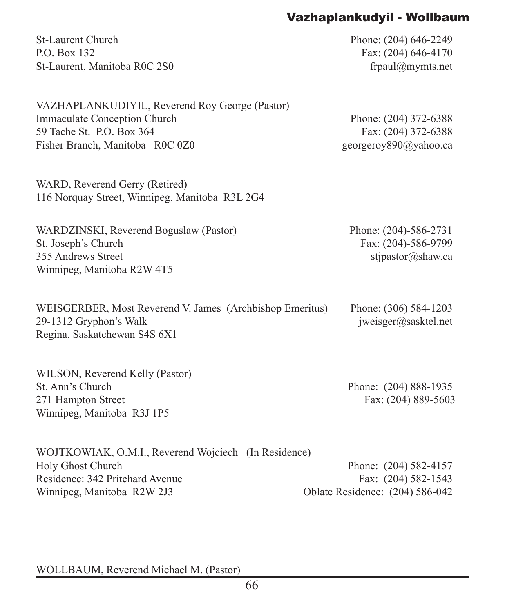## Vazhaplankudyil - Wollbaum

St-Laurent Church Phone: (204) 646-2249 P.O. Box 132 Fax: (204) 646-4170 St-Laurent, Manitoba R0C 2S0 frpaul@mymts.net

| VAZHAPLANKUDIYIL, Reverend Roy George (Pastor) |                       |
|------------------------------------------------|-----------------------|
| Immaculate Conception Church                   | Phone: (204) 372-6388 |
| 59 Tache St. P.O. Box 364                      | Fax: $(204)$ 372-6388 |
| Fisher Branch, Manitoba ROC 0Z0                | georgeroy890@yahoo.ca |

WARD, Reverend Gerry (Retired) 116 Norquay Street, Winnipeg, Manitoba R3L 2G4

WARDZINSKI, Reverend Boguslaw (Pastor) Phone: (204)-586-2731 St. Joseph's Church Fax: (204)-586-9799 355 Andrews Street stipastor  $\alpha$ shaw.ca Winnipeg, Manitoba R2W 4T5

WEISGERBER, Most Reverend V. James (Archbishop Emeritus) Phone: (306) 584-1203 29-1312 Gryphon's Walk in the same state is a state of the state in the state in the state of the state in the state in the state in the state in the state in the state in the state in the state in the state in the state i Regina, Saskatchewan S4S 6X1

WILSON, Reverend Kelly (Pastor) St. Ann's Church Phone: (204) 888-1935 271 Hampton Street Fax: (204) 889-5603 Winnipeg, Manitoba R3J 1P5

| WOJTKOWIAK, O.M.I., Reverend Wojciech (In Residence) |                                        |
|------------------------------------------------------|----------------------------------------|
| Holy Ghost Church                                    | Phone: (204) 582-4157                  |
| Residence: 342 Pritchard Avenue                      | Fax: $(204)$ 582-1543                  |
| Winnipeg, Manitoba R2W 2J3                           | <b>Oblate Residence:</b> (204) 586-042 |

WOLLBAUM, Reverend Michael M. (Pastor)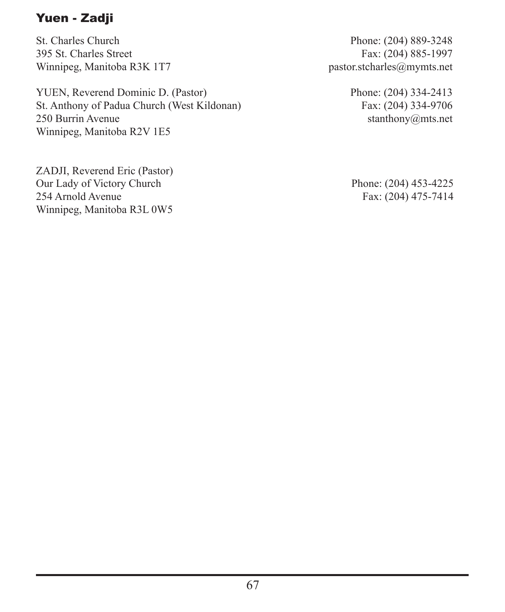# Yuen - Zadji

St. Charles Church Phone: (204) 889-3248<br>395 St. Charles Street Fax: (204) 885-1997 Winnipeg, Manitoba R3K 1T7 pastor.stcharles@mymts.net

YUEN, Reverend Dominic D. (Pastor) Phone: (204) 334-2413 St. Anthony of Padua Church (West Kildonan) Fax: (204) 334-9706<br>250 Burrin Avenue stanthony ants.net Winnipeg, Manitoba R2V 1E5

ZADJI, Reverend Eric (Pastor) Our Lady of Victory Church Phone: (204) 453-4225<br>254 Arnold Avenue Fax: (204) 475-7414 Winnipeg, Manitoba R3L 0W5

Fax: (204) 885-1997

 $stanthony@mts.net$ 

Fax: (204) 475-7414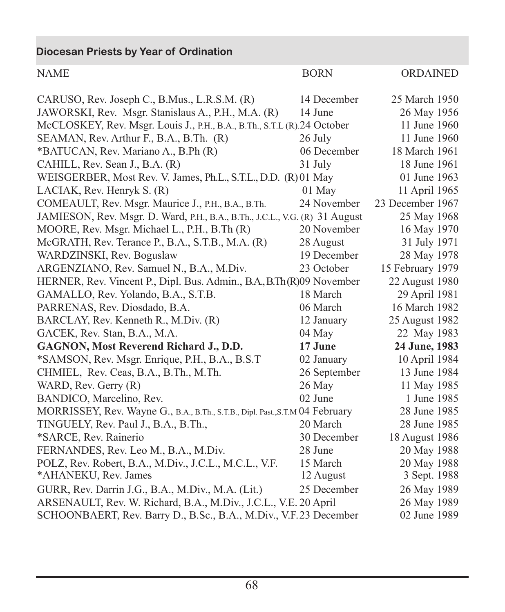**Diocesan Priests by Year of Ordination**

| <b>NAME</b>                                                                   | <b>BORN</b>  | ORDAINED         |
|-------------------------------------------------------------------------------|--------------|------------------|
| CARUSO, Rev. Joseph C., B.Mus., L.R.S.M. (R)                                  | 14 December  | 25 March 1950    |
| JAWORSKI, Rev. Msgr. Stanislaus A., P.H., M.A. (R)                            | 14 June      | 26 May 1956      |
| McCLOSKEY, Rev. Msgr. Louis J., P.H., B.A., B.Th., S.T.L (R).24 October       |              | 11 June 1960     |
| SEAMAN, Rev. Arthur F., B.A., B.Th. (R)                                       | 26 July      | 11 June 1960     |
| *BATUCAN, Rev. Mariano A., B.Ph (R)                                           | 06 December  | 18 March 1961    |
| CAHILL, Rev. Sean J., B.A. (R)                                                | 31 July      | 18 June 1961     |
| WEISGERBER, Most Rev. V. James, Ph.L., S.T.L., D.D. (R)01 May                 |              | 01 June 1963     |
| LACIAK, Rev. Henryk S. (R)                                                    | 01 May       | 11 April 1965    |
| COMEAULT, Rev. Msgr. Maurice J., P.H., B.A., B.Th.                            | 24 November  | 23 December 1967 |
| JAMIESON, Rev. Msgr. D. Ward, P.H., B.A., B.Th., J.C.L., V.G. (R) 31 August   |              | 25 May 1968      |
| MOORE, Rev. Msgr. Michael L., P.H., B.Th (R)                                  | 20 November  | 16 May 1970      |
| McGRATH, Rev. Terance P., B.A., S.T.B., M.A. (R)                              | 28 August    | 31 July 1971     |
| WARDZINSKI, Rev. Boguslaw                                                     | 19 December  | 28 May 1978      |
| ARGENZIANO, Rev. Samuel N., B.A., M.Div.                                      | 23 October   | 15 February 1979 |
| HERNER, Rev. Vincent P., Dipl. Bus. Admin., B.A., B.Th(R)09 November          |              | 22 August 1980   |
| GAMALLO, Rev. Yolando, B.A., S.T.B.                                           | 18 March     | 29 April 1981    |
| PARRENAS, Rev. Diosdado, B.A.                                                 | 06 March     | 16 March 1982    |
| BARCLAY, Rev. Kenneth R., M.Div. (R)                                          | 12 January   | 25 August 1982   |
| GACEK, Rev. Stan, B.A., M.A.                                                  | 04 May       | 22 May 1983      |
| GAGNON, Most Reverend Richard J., D.D.                                        | 17 June      | 24 June, 1983    |
| *SAMSON, Rev. Msgr. Enrique, P.H., B.A., B.S.T                                | 02 January   | 10 April 1984    |
| CHMIEL, Rev. Ceas, B.A., B.Th., M.Th.                                         | 26 September | 13 June 1984     |
| WARD, Rev. Gerry (R)                                                          | 26 May       | 11 May 1985      |
| BANDICO, Marcelino, Rev.                                                      | 02 June      | 1 June 1985      |
| MORRISSEY, Rev. Wayne G., B.A., B.Th., S.T.B., Dipl. Past., S.T.M 04 February |              | 28 June 1985     |
| TINGUELY, Rev. Paul J., B.A., B.Th.,                                          | 20 March     | 28 June 1985     |
| *SARCE, Rev. Rainerio                                                         | 30 December  | 18 August 1986   |
| FERNANDES, Rev. Leo M., B.A., M.Div.                                          | 28 June      | 20 May 1988      |
| POLZ, Rev. Robert, B.A., M.Div., J.C.L., M.C.L., V.F.                         | 15 March     | 20 May 1988      |
| *AHANEKU, Rev. James                                                          | 12 August    | 3 Sept. 1988     |
| GURR, Rev. Darrin J.G., B.A., M.Div., M.A. (Lit.)                             | 25 December  | 26 May 1989      |
| ARSENAULT, Rev. W. Richard, B.A., M.Div., J.C.L., V.E. 20 April               |              | 26 May 1989      |
| SCHOONBAERT, Rev. Barry D., B.Sc., B.A., M.Div., V.F.23 December              |              | 02 June 1989     |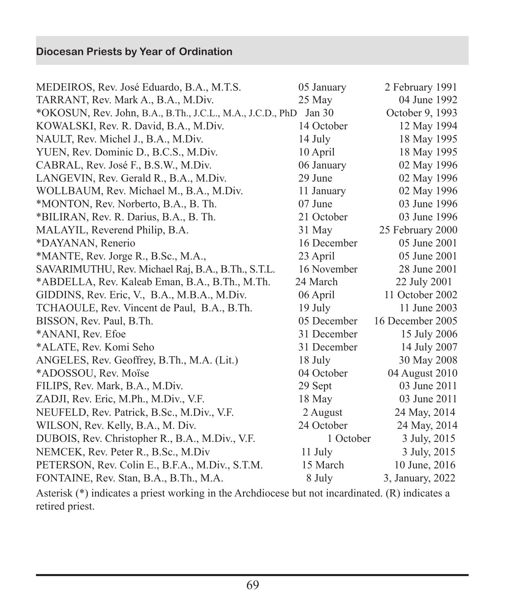| MEDEIROS, Rev. José Eduardo, B.A., M.T.S.                  | 05 January  | 2 February 1991  |
|------------------------------------------------------------|-------------|------------------|
| TARRANT, Rev. Mark A., B.A., M.Div.                        | 25 May      | 04 June 1992     |
| *OKOSUN, Rev. John, B.A., B.Th., J.C.L., M.A., J.C.D., PhD | Jan 30      | October 9, 1993  |
| KOWALSKI, Rev. R. David, B.A., M.Div.                      | 14 October  | 12 May 1994      |
| NAULT, Rev. Michel J., B.A., M.Div.                        | 14 July     | 18 May 1995      |
| YUEN, Rev. Dominic D., B.C.S., M.Div.                      | 10 April    | 18 May 1995      |
| CABRAL, Rev. José F., B.S.W., M.Div.                       | 06 January  | 02 May 1996      |
| LANGEVIN, Rev. Gerald R., B.A., M.Div.                     | 29 June     | 02 May 1996      |
| WOLLBAUM, Rev. Michael M., B.A., M.Div.                    | 11 January  | 02 May 1996      |
| *MONTON, Rev. Norberto, B.A., B. Th.                       | 07 June     | 03 June 1996     |
| *BILIRAN, Rev. R. Darius, B.A., B. Th.                     | 21 October  | 03 June 1996     |
| MALAYIL, Reverend Philip, B.A.                             | 31 May      | 25 February 2000 |
| *DAYANAN, Renerio                                          | 16 December | 05 June 2001     |
| *MANTE, Rev. Jorge R., B.Sc., M.A.,                        | 23 April    | 05 June 2001     |
| SAVARIMUTHU, Rev. Michael Raj, B.A., B.Th., S.T.L.         | 16 November | 28 June 2001     |
| *ABDELLA, Rev. Kaleab Eman, B.A., B.Th., M.Th.             | 24 March    | 22 July 2001     |
| GIDDINS, Rev. Eric, V., B.A., M.B.A., M.Div.               | 06 April    | 11 October 2002  |
| TCHAOULE, Rev. Vincent de Paul, B.A., B.Th.                | 19 July     | 11 June 2003     |
| BISSON, Rev. Paul, B.Th.                                   | 05 December | 16 December 2005 |
| *ANANI, Rev. Efoe                                          | 31 December | 15 July 2006     |
| *ALATE, Rev. Komi Seho                                     | 31 December | 14 July 2007     |
| ANGELES, Rev. Geoffrey, B.Th., M.A. (Lit.)                 | 18 July     | 30 May 2008      |
| *ADOSSOU, Rev. Moïse                                       | 04 October  | 04 August 2010   |
| FILIPS, Rev. Mark, B.A., M.Div.                            | 29 Sept     | 03 June 2011     |
| ZADJI, Rev. Eric, M.Ph., M.Div., V.F.                      | 18 May      | 03 June 2011     |
| NEUFELD, Rev. Patrick, B.Sc., M.Div., V.F.                 | 2 August    | 24 May, 2014     |
| WILSON, Rev. Kelly, B.A., M. Div.                          | 24 October  | 24 May, 2014     |
| DUBOIS, Rev. Christopher R., B.A., M.Div., V.F.            | 1 October   | 3 July, 2015     |
| NEMCEK, Rev. Peter R., B.Sc., M.Div                        | 11 July     | 3 July, 2015     |
| PETERSON, Rev. Colin E., B.F.A., M.Div., S.T.M.            | 15 March    | 10 June, 2016    |
| FONTAINE, Rev. Stan, B.A., B.Th., M.A.                     | 8 July      | 3, January, 2022 |

Asterisk (\*) indicates a priest working in the Archdiocese but not incardinated. (R) indicates a retired priest.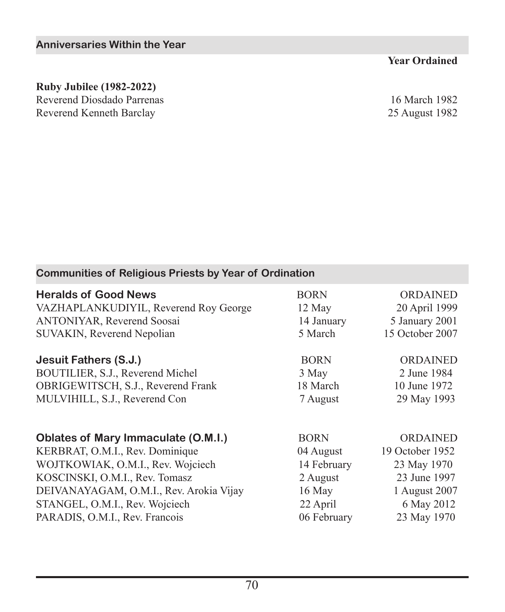#### **Year Ordained**

#### **Ruby Jubilee (1982-2022)**

Reverend Diosdado Parrenas 16 March 1982<br>Reverend Kenneth Barclay 25 August 1982 Reverend Kenneth Barclay

| <b>Communities of Religious Priests by Year of Ordination</b> |             |                 |
|---------------------------------------------------------------|-------------|-----------------|
| <b>Heralds of Good News</b>                                   | <b>BORN</b> | ORDAINED        |
| VAZHAPLANKUDIYIL, Reverend Roy George                         | 12 May      | 20 April 1999   |
| ANTONIYAR, Reverend Soosai                                    | 14 January  | 5 January 2001  |
| <b>SUVAKIN, Reverend Nepolian</b>                             | 5 March     | 15 October 2007 |
| Jesuit Fathers (S.J.)                                         | <b>BORN</b> | <b>ORDAINED</b> |
| BOUTILIER, S.J., Reverend Michel                              | 3 May       | 2 June 1984     |
| OBRIGEWITSCH, S.J., Reverend Frank                            | 18 March    | 10 June 1972    |
| MULVIHILL, S.J., Reverend Con                                 | 7 August    | 29 May 1993     |
| <b>Oblates of Mary Immaculate (O.M.I.)</b>                    | <b>BORN</b> | ORDAINED        |
| KERBRAT, O.M.I., Rev. Dominique                               | 04 August   | 19 October 1952 |
| WOJTKOWIAK, O.M.I., Rev. Wojciech                             | 14 February | 23 May 1970     |
| KOSCINSKI, O.M.I., Rev. Tomasz                                | 2 August    | 23 June 1997    |
| DEIVANAYAGAM, O.M.I., Rev. Arokia Vijay                       | $16$ May    | 1 August 2007   |
| STANGEL, O.M.I., Rev. Wojciech                                | 22 April    | 6 May 2012      |
| PARADIS, O.M.I., Rev. Francois                                | 06 February | 23 May 1970     |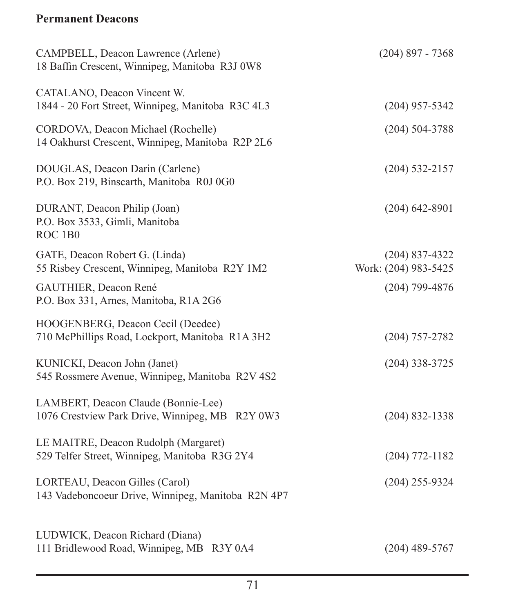## **Permanent Deacons**

| CAMPBELL, Deacon Lawrence (Arlene)<br>18 Baffin Crescent, Winnipeg, Manitoba R3J 0W8   | $(204)$ 897 - 7368                       |
|----------------------------------------------------------------------------------------|------------------------------------------|
| CATALANO, Deacon Vincent W.<br>1844 - 20 Fort Street, Winnipeg, Manitoba R3C 4L3       | $(204)$ 957-5342                         |
| CORDOVA, Deacon Michael (Rochelle)<br>14 Oakhurst Crescent, Winnipeg, Manitoba R2P 2L6 | $(204) 504 - 3788$                       |
| DOUGLAS, Deacon Darin (Carlene)<br>P.O. Box 219, Binscarth, Manitoba R0J 0G0           | $(204) 532 - 2157$                       |
| DURANT, Deacon Philip (Joan)<br>P.O. Box 3533, Gimli, Manitoba<br>ROC <sub>1B0</sub>   | $(204)$ 642-8901                         |
| GATE, Deacon Robert G. (Linda)<br>55 Risbey Crescent, Winnipeg, Manitoba R2Y 1M2       | $(204)$ 837-4322<br>Work: (204) 983-5425 |
| GAUTHIER, Deacon René<br>P.O. Box 331, Arnes, Manitoba, R1A 2G6                        | $(204)$ 799-4876                         |
| HOOGENBERG, Deacon Cecil (Deedee)<br>710 McPhillips Road, Lockport, Manitoba R1A 3H2   | $(204)$ 757-2782                         |
| KUNICKI, Deacon John (Janet)<br>545 Rossmere Avenue, Winnipeg, Manitoba R2V 4S2        | $(204)$ 338-3725                         |
| LAMBERT, Deacon Claude (Bonnie-Lee)<br>1076 Crestview Park Drive, Winnipeg, MB R2Y 0W3 | $(204)$ 832-1338                         |
| LE MAITRE, Deacon Rudolph (Margaret)<br>529 Telfer Street, Winnipeg, Manitoba R3G 2Y4  | $(204) 772 - 1182$                       |
| LORTEAU, Deacon Gilles (Carol)<br>143 Vadeboncoeur Drive, Winnipeg, Manitoba R2N 4P7   | $(204)$ 255-9324                         |
| LUDWICK, Deacon Richard (Diana)<br>111 Bridlewood Road, Winnipeg, MB R3Y 0A4           | $(204)$ 489-5767                         |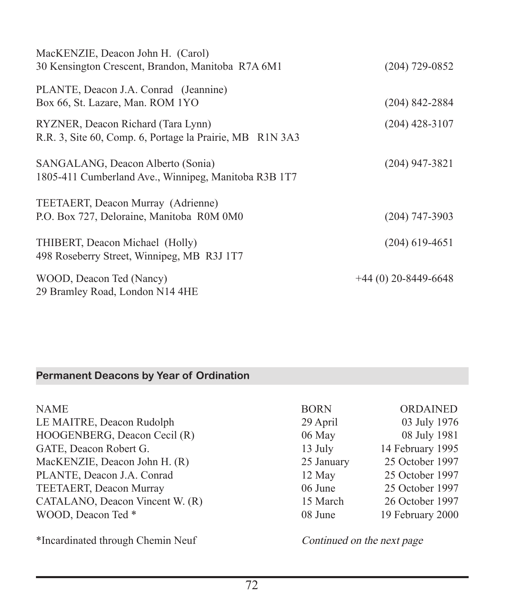| MacKENZIE, Deacon John H. (Carol)                                                              |                       |
|------------------------------------------------------------------------------------------------|-----------------------|
| 30 Kensington Crescent, Brandon, Manitoba R7A 6M1                                              | $(204)$ 729-0852      |
| PLANTE, Deacon J.A. Conrad (Jeannine)                                                          |                       |
| Box 66, St. Lazare, Man. ROM 1YO                                                               | $(204)$ 842-2884      |
| RYZNER, Deacon Richard (Tara Lynn)<br>R.R. 3, Site 60, Comp. 6, Portage la Prairie, MB R1N 3A3 | $(204)$ 428-3107      |
|                                                                                                |                       |
| SANGALANG, Deacon Alberto (Sonia)                                                              | $(204)$ 947-3821      |
| 1805-411 Cumberland Ave., Winnipeg, Manitoba R3B 1T7                                           |                       |
| TEETAERT, Deacon Murray (Adrienne)                                                             |                       |
| P.O. Box 727, Deloraine, Manitoba R0M 0M0                                                      | $(204)$ 747-3903      |
| THIBERT, Deacon Michael (Holly)                                                                | $(204)$ 619-4651      |
| 498 Roseberry Street, Winnipeg, MB R3J 1T7                                                     |                       |
| WOOD, Deacon Ted (Nancy)                                                                       | $+44(0)$ 20-8449-6648 |
| 29 Bramley Road, London N14 4HE                                                                |                       |

# **Permanent Deacons by Year of Ordination**

| <b>NAME</b>                     | <b>BORN</b> | <b>ORDAINED</b>  |
|---------------------------------|-------------|------------------|
| LE MAITRE, Deacon Rudolph       | 29 April    | 03 July 1976     |
| HOOGENBERG, Deacon Cecil (R)    | 06 May      | 08 July 1981     |
| GATE, Deacon Robert G.          | 13 July     | 14 February 1995 |
| MacKENZIE, Deacon John H. (R)   | 25 January  | 25 October 1997  |
| PLANTE, Deacon J.A. Conrad      | 12 May      | 25 October 1997  |
| TEETAERT, Deacon Murray         | 06 June     | 25 October 1997  |
| CATALANO, Deacon Vincent W. (R) | 15 March    | 26 October 1997  |
| WOOD, Deacon Ted *              | 08 June     | 19 February 2000 |
|                                 |             |                  |

\*Incardinated through Chemin Neuf Continued on the next page